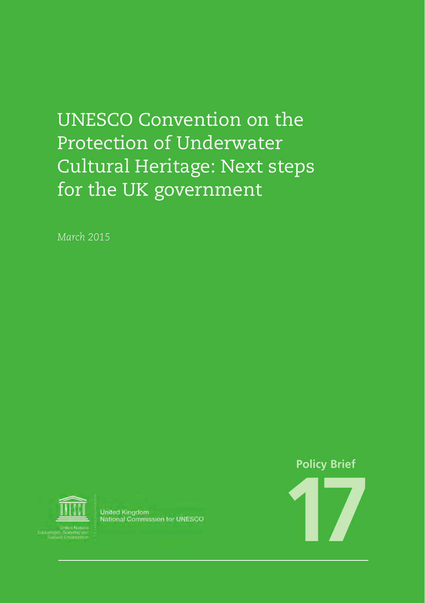### UNESCO Convention on the Protection of Underwater Cultural Heritage: Next steps for the UK government

*March 2015*



**United Kingdom** National Commission for UNESCO

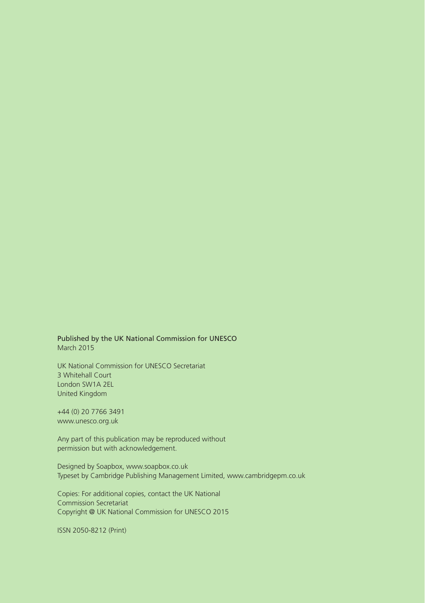Published by the UK National Commission for UNESCO March 2015

UK National Commission for UNESCO Secretariat 3 Whitehall Court London SW1A 2EL United Kingdom

+44 (0) 20 7766 3491 www.unesco.org.uk

Any part of this publication may be reproduced without permission but with acknowledgement.

Designed by Soapbox, www.soapbox.co.uk Typeset by Cambridge Publishing Management Limited, www.cambridgepm.co.uk

Copies: For additional copies, contact the UK National Commission Secretariat Copyright @ UK National Commission for UNESCO 2015

ISSN 2050-8212 (Print)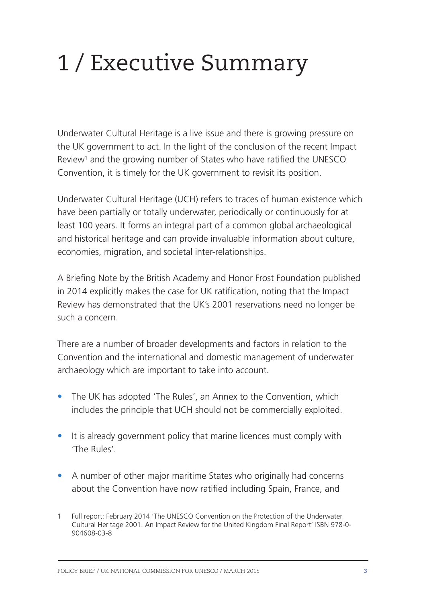## 1 / Executive Summary

Underwater Cultural Heritage is a live issue and there is growing pressure on the UK government to act. In the light of the conclusion of the recent Impact Review<sup>1</sup> and the growing number of States who have ratified the UNESCO Convention, it is timely for the UK government to revisit its position.

Underwater Cultural Heritage (UCH) refers to traces of human existence which have been partially or totally underwater, periodically or continuously for at least 100 years. It forms an integral part of a common global archaeological and historical heritage and can provide invaluable information about culture, economies, migration, and societal inter-relationships.

A Briefing Note by the British Academy and Honor Frost Foundation published in 2014 explicitly makes the case for UK ratification, noting that the Impact Review has demonstrated that the UK's 2001 reservations need no longer be such a concern.

There are a number of broader developments and factors in relation to the Convention and the international and domestic management of underwater archaeology which are important to take into account.

- The UK has adopted 'The Rules', an Annex to the Convention, which includes the principle that UCH should not be commercially exploited.
- It is already government policy that marine licences must comply with 'The Rules'.
- A number of other major maritime States who originally had concerns about the Convention have now ratified including Spain, France, and

<sup>1</sup> Full report: February 2014 'The UNESCO Convention on the Protection of the Underwater Cultural Heritage 2001. An Impact Review for the United Kingdom Final Report' ISBN 978-0- 904608-03-8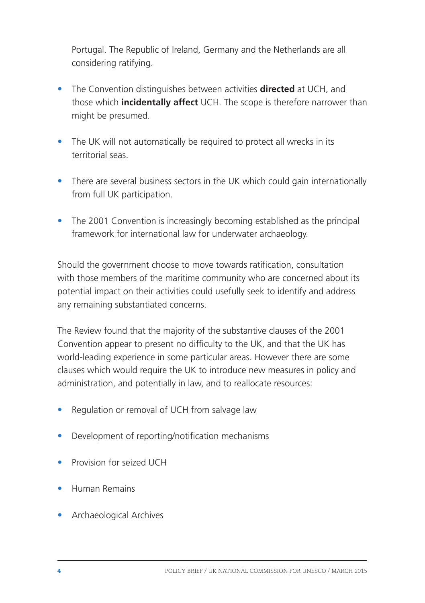Portugal. The Republic of Ireland, Germany and the Netherlands are all considering ratifying.

- The Convention distinguishes between activities **directed** at UCH, and those which **incidentally affect** UCH. The scope is therefore narrower than might be presumed.
- The UK will not automatically be required to protect all wrecks in its territorial seas.
- There are several business sectors in the UK which could gain internationally from full UK participation.
- The 2001 Convention is increasingly becoming established as the principal framework for international law for underwater archaeology.

Should the government choose to move towards ratification, consultation with those members of the maritime community who are concerned about its potential impact on their activities could usefully seek to identify and address any remaining substantiated concerns.

The Review found that the majority of the substantive clauses of the 2001 Convention appear to present no difficulty to the UK, and that the UK has world-leading experience in some particular areas. However there are some clauses which would require the UK to introduce new measures in policy and administration, and potentially in law, and to reallocate resources:

- Regulation or removal of UCH from salvage law
- Development of reporting/notification mechanisms
- Provision for seized UCH
- • Human Remains
- Archaeological Archives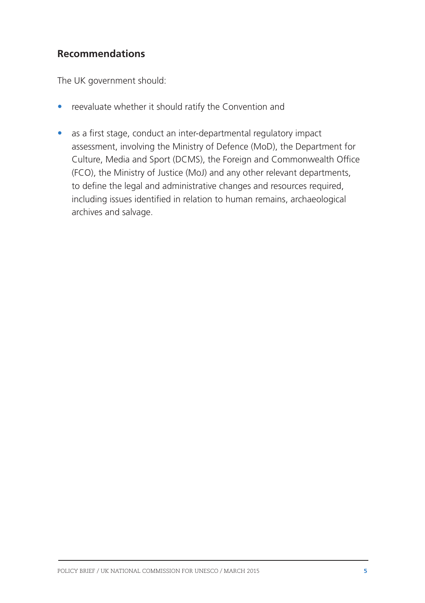#### **Recommendations**

The UK government should:

- reevaluate whether it should ratify the Convention and
- as a first stage, conduct an inter-departmental regulatory impact assessment, involving the Ministry of Defence (MoD), the Department for Culture, Media and Sport (DCMS), the Foreign and Commonwealth Office (FCO), the Ministry of Justice (MoJ) and any other relevant departments, to define the legal and administrative changes and resources required, including issues identified in relation to human remains, archaeological archives and salvage.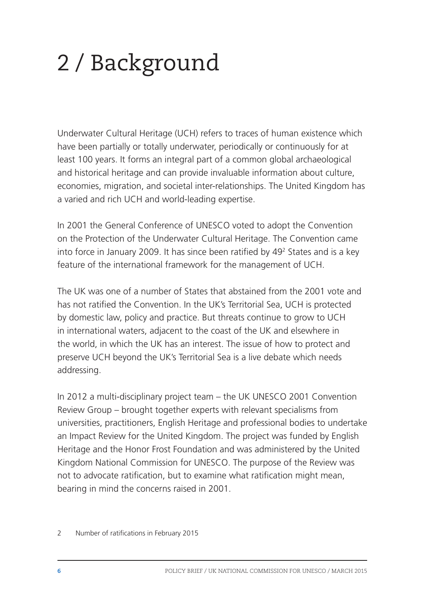# 2 / Background

Underwater Cultural Heritage (UCH) refers to traces of human existence which have been partially or totally underwater, periodically or continuously for at least 100 years. It forms an integral part of a common global archaeological and historical heritage and can provide invaluable information about culture, economies, migration, and societal inter-relationships. The United Kingdom has a varied and rich UCH and world-leading expertise.

In 2001 the General Conference of UNESCO voted to adopt the Convention on the Protection of the Underwater Cultural Heritage. The Convention came into force in January 2009. It has since been ratified by 492 States and is a key feature of the international framework for the management of UCH.

The UK was one of a number of States that abstained from the 2001 vote and has not ratified the Convention. In the UK's Territorial Sea, UCH is protected by domestic law, policy and practice. But threats continue to grow to UCH in international waters, adjacent to the coast of the UK and elsewhere in the world, in which the UK has an interest. The issue of how to protect and preserve UCH beyond the UK's Territorial Sea is a live debate which needs addressing.

In 2012 a multi-disciplinary project team – the UK UNESCO 2001 Convention Review Group – brought together experts with relevant specialisms from universities, practitioners, English Heritage and professional bodies to undertake an Impact Review for the United Kingdom. The project was funded by English Heritage and the Honor Frost Foundation and was administered by the United Kingdom National Commission for UNESCO. The purpose of the Review was not to advocate ratification, but to examine what ratification might mean, bearing in mind the concerns raised in 2001.

<sup>2</sup> Number of ratifications in February 2015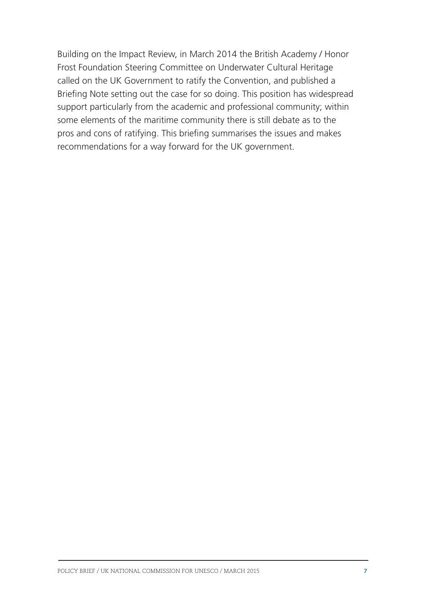Building on the Impact Review, in March 2014 the British Academy / Honor Frost Foundation Steering Committee on Underwater Cultural Heritage called on the UK Government to ratify the Convention, and published a Briefing Note setting out the case for so doing. This position has widespread support particularly from the academic and professional community; within some elements of the maritime community there is still debate as to the pros and cons of ratifying. This briefing summarises the issues and makes recommendations for a way forward for the UK government.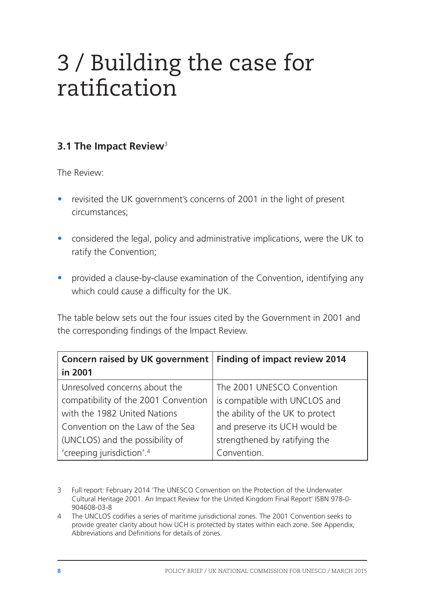### 3 / Building the case for ratification

#### **3.1 The Impact Review**<sup>3</sup>

The Review:

- revisited the UK government's concerns of 2001 in the light of present circumstances;
- considered the legal, policy and administrative implications, were the UK to ratify the Convention;
- provided a clause-by-clause examination of the Convention, identifying any which could cause a difficulty for the UK.

The table below sets out the four issues cited by the Government in 2001 and the corresponding findings of the Impact Review.

| Concern raised by UK government   Finding of impact review 2014 |                                  |
|-----------------------------------------------------------------|----------------------------------|
| in 2001                                                         |                                  |
| Unresolved concerns about the                                   | The 2001 UNESCO Convention       |
| compatibility of the 2001 Convention                            | is compatible with UNCLOS and    |
| with the 1982 United Nations                                    | the ability of the UK to protect |
| Convention on the Law of the Sea                                | and preserve its UCH would be    |
| (UNCLOS) and the possibility of                                 | strengthened by ratifying the    |
| 'creeping jurisdiction'. <sup>4</sup>                           | Convention.                      |

<sup>3</sup> Full report: February 2014 'The UNESCO Convention on the Protection of the Underwater Cultural Heritage 2001. An Impact Review for the United Kingdom Final Report' ISBN 978-0- 904608-03-8

4 The UNCLOS codifies a series of maritime jurisdictional zones. The 2001 Convention seeks to provide greater clarity about how UCH is protected by states within each zone. See Appendix, Abbreviations and Definitions for details of zones.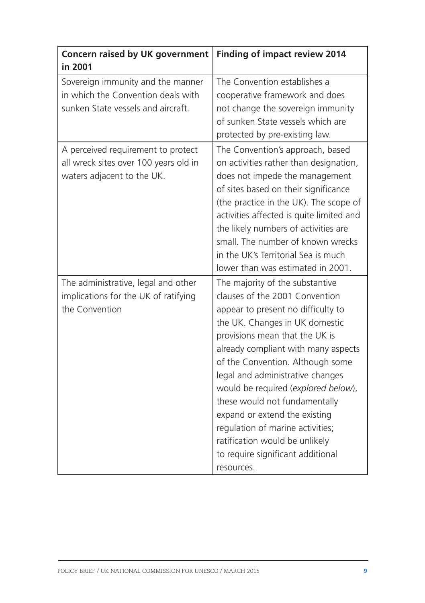| Concern raised by UK government<br>in 2001                                                                    | Finding of impact review 2014                                                                                                                                                                                                                                                                                                                                                                                                                                                                                                |
|---------------------------------------------------------------------------------------------------------------|------------------------------------------------------------------------------------------------------------------------------------------------------------------------------------------------------------------------------------------------------------------------------------------------------------------------------------------------------------------------------------------------------------------------------------------------------------------------------------------------------------------------------|
| Sovereign immunity and the manner<br>in which the Convention deals with<br>sunken State vessels and aircraft. | The Convention establishes a<br>cooperative framework and does<br>not change the sovereign immunity<br>of sunken State vessels which are<br>protected by pre-existing law.                                                                                                                                                                                                                                                                                                                                                   |
| A perceived requirement to protect<br>all wreck sites over 100 years old in<br>waters adjacent to the UK.     | The Convention's approach, based<br>on activities rather than designation,<br>does not impede the management<br>of sites based on their significance<br>(the practice in the UK). The scope of<br>activities affected is quite limited and<br>the likely numbers of activities are<br>small. The number of known wrecks<br>in the UK's Territorial Sea is much<br>lower than was estimated in 2001.                                                                                                                          |
| The administrative, legal and other<br>implications for the UK of ratifying<br>the Convention                 | The majority of the substantive<br>clauses of the 2001 Convention<br>appear to present no difficulty to<br>the UK. Changes in UK domestic<br>provisions mean that the UK is<br>already compliant with many aspects<br>of the Convention. Although some<br>legal and administrative changes<br>would be required (explored below),<br>these would not fundamentally<br>expand or extend the existing<br>regulation of marine activities;<br>ratification would be unlikely<br>to require significant additional<br>resources. |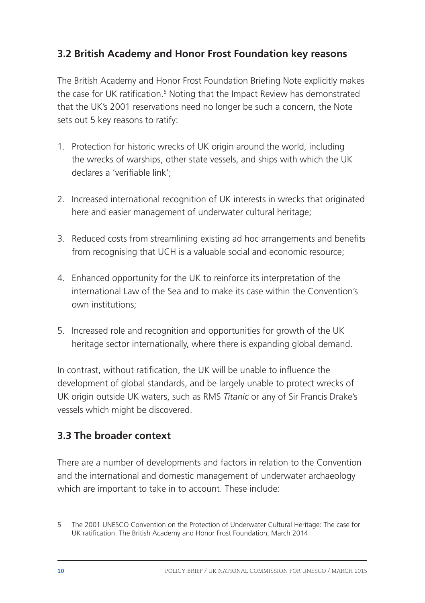#### **3.2 British Academy and Honor Frost Foundation key reasons**

The British Academy and Honor Frost Foundation Briefing Note explicitly makes the case for UK ratification.<sup>5</sup> Noting that the Impact Review has demonstrated that the UK's 2001 reservations need no longer be such a concern, the Note sets out 5 key reasons to ratify:

- 1. Protection for historic wrecks of UK origin around the world, including the wrecks of warships, other state vessels, and ships with which the UK declares a 'verifiable link';
- 2. Increased international recognition of UK interests in wrecks that originated here and easier management of underwater cultural heritage;
- 3. Reduced costs from streamlining existing ad hoc arrangements and benefits from recognising that UCH is a valuable social and economic resource;
- 4. Enhanced opportunity for the UK to reinforce its interpretation of the international Law of the Sea and to make its case within the Convention's own institutions;
- 5. Increased role and recognition and opportunities for growth of the UK heritage sector internationally, where there is expanding global demand.

In contrast, without ratification, the UK will be unable to influence the development of global standards, and be largely unable to protect wrecks of UK origin outside UK waters, such as RMS *Titanic* or any of Sir Francis Drake's vessels which might be discovered.

#### **3.3 The broader context**

There are a number of developments and factors in relation to the Convention and the international and domestic management of underwater archaeology which are important to take in to account. These include:

<sup>5</sup> The 2001 UNESCO Convention on the Protection of Underwater Cultural Heritage: The case for UK ratification. The British Academy and Honor Frost Foundation, March 2014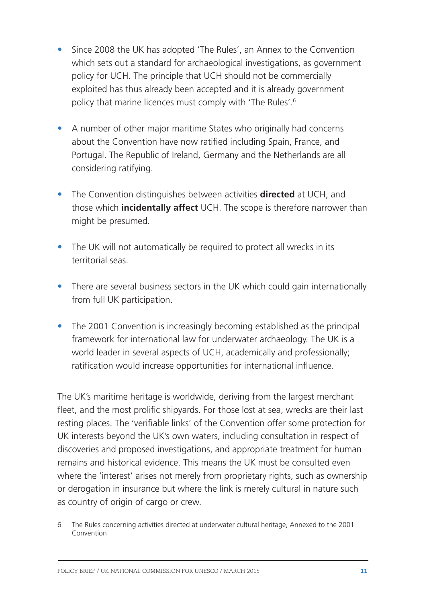- Since 2008 the UK has adopted 'The Rules', an Annex to the Convention which sets out a standard for archaeological investigations, as government policy for UCH. The principle that UCH should not be commercially exploited has thus already been accepted and it is already government policy that marine licences must comply with 'The Rules'.6
- A number of other major maritime States who originally had concerns about the Convention have now ratified including Spain, France, and Portugal. The Republic of Ireland, Germany and the Netherlands are all considering ratifying.
- The Convention distinguishes between activities **directed** at UCH, and those which **incidentally affect** UCH. The scope is therefore narrower than might be presumed.
- The UK will not automatically be required to protect all wrecks in its territorial seas.
- There are several business sectors in the UK which could gain internationally from full UK participation.
- The 2001 Convention is increasingly becoming established as the principal framework for international law for underwater archaeology. The UK is a world leader in several aspects of UCH, academically and professionally; ratification would increase opportunities for international influence.

The UK's maritime heritage is worldwide, deriving from the largest merchant fleet, and the most prolific shipyards. For those lost at sea, wrecks are their last resting places. The 'verifiable links' of the Convention offer some protection for UK interests beyond the UK's own waters, including consultation in respect of discoveries and proposed investigations, and appropriate treatment for human remains and historical evidence. This means the UK must be consulted even where the 'interest' arises not merely from proprietary rights, such as ownership or derogation in insurance but where the link is merely cultural in nature such as country of origin of cargo or crew.

<sup>6</sup> The Rules concerning activities directed at underwater cultural heritage, Annexed to the 2001 Convention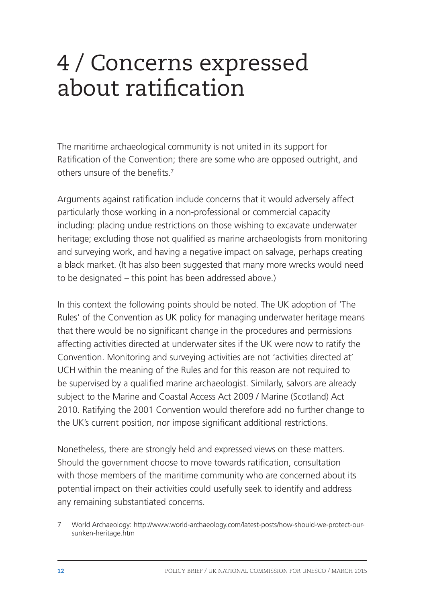### 4 / Concerns expressed about ratification

The maritime archaeological community is not united in its support for Ratification of the Convention; there are some who are opposed outright, and others unsure of the benefits<sup>7</sup>

Arguments against ratification include concerns that it would adversely affect particularly those working in a non-professional or commercial capacity including: placing undue restrictions on those wishing to excavate underwater heritage; excluding those not qualified as marine archaeologists from monitoring and surveying work, and having a negative impact on salvage, perhaps creating a black market. (It has also been suggested that many more wrecks would need to be designated – this point has been addressed above.)

In this context the following points should be noted. The UK adoption of 'The Rules' of the Convention as UK policy for managing underwater heritage means that there would be no significant change in the procedures and permissions affecting activities directed at underwater sites if the UK were now to ratify the Convention. Monitoring and surveying activities are not 'activities directed at' UCH within the meaning of the Rules and for this reason are not required to be supervised by a qualified marine archaeologist. Similarly, salvors are already subject to the Marine and Coastal Access Act 2009 / Marine (Scotland) Act 2010. Ratifying the 2001 Convention would therefore add no further change to the UK's current position, nor impose significant additional restrictions.

Nonetheless, there are strongly held and expressed views on these matters. Should the government choose to move towards ratification, consultation with those members of the maritime community who are concerned about its potential impact on their activities could usefully seek to identify and address any remaining substantiated concerns.

7 World Archaeology: http://www.world-archaeology.com/latest-posts/how-should-we-protect-oursunken-heritage.htm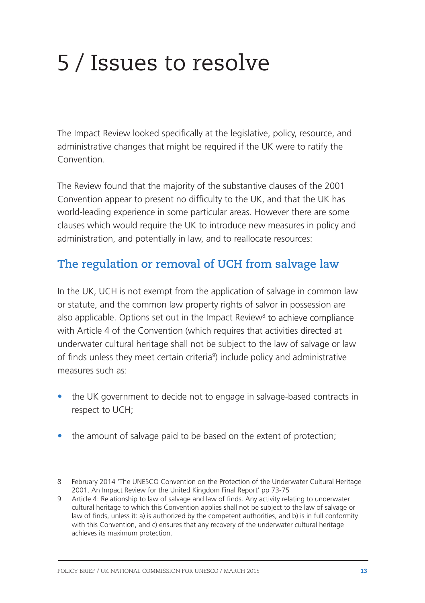## 5 / Issues to resolve

The Impact Review looked specifically at the legislative, policy, resource, and administrative changes that might be required if the UK were to ratify the Convention.

The Review found that the majority of the substantive clauses of the 2001 Convention appear to present no difficulty to the UK, and that the UK has world-leading experience in some particular areas. However there are some clauses which would require the UK to introduce new measures in policy and administration, and potentially in law, and to reallocate resources:

### **The regulation or removal of UCH from salvage law**

In the UK, UCH is not exempt from the application of salvage in common law or statute, and the common law property rights of salvor in possession are also applicable. Options set out in the Impact Review<sup>8</sup> to achieve compliance with Article 4 of the Convention (which requires that activities directed at underwater cultural heritage shall not be subject to the law of salvage or law of finds unless they meet certain criteria<sup>9</sup>) include policy and administrative measures such as:

- the UK government to decide not to engage in salvage-based contracts in respect to UCH;
- the amount of salvage paid to be based on the extent of protection:

<sup>8</sup> February 2014 'The UNESCO Convention on the Protection of the Underwater Cultural Heritage 2001. An Impact Review for the United Kingdom Final Report' pp 73-75

<sup>9</sup> Article 4: Relationship to law of salvage and law of finds. Any activity relating to underwater cultural heritage to which this Convention applies shall not be subject to the law of salvage or law of finds, unless it: a) is authorized by the competent authorities, and b) is in full conformity with this Convention, and c) ensures that any recovery of the underwater cultural heritage achieves its maximum protection.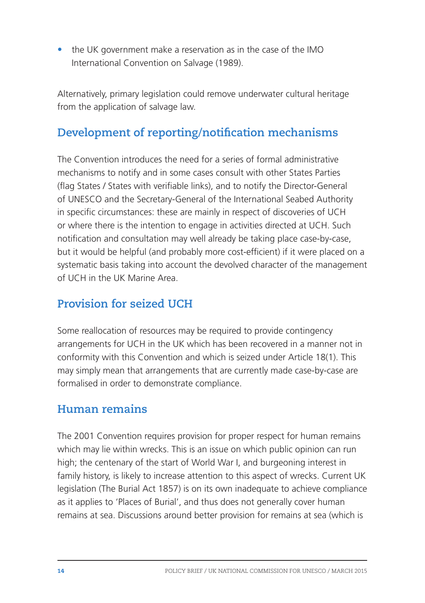• the UK government make a reservation as in the case of the IMO International Convention on Salvage (1989).

Alternatively, primary legislation could remove underwater cultural heritage from the application of salvage law.

### **Development of reporting/notification mechanisms**

The Convention introduces the need for a series of formal administrative mechanisms to notify and in some cases consult with other States Parties (flag States / States with verifiable links), and to notify the Director-General of UNESCO and the Secretary-General of the International Seabed Authority in specific circumstances: these are mainly in respect of discoveries of UCH or where there is the intention to engage in activities directed at UCH. Such notification and consultation may well already be taking place case-by-case, but it would be helpful (and probably more cost-efficient) if it were placed on a systematic basis taking into account the devolved character of the management of UCH in the UK Marine Area.

### **Provision for seized UCH**

Some reallocation of resources may be required to provide contingency arrangements for UCH in the UK which has been recovered in a manner not in conformity with this Convention and which is seized under Article 18(1). This may simply mean that arrangements that are currently made case-by-case are formalised in order to demonstrate compliance.

### **Human remains**

The 2001 Convention requires provision for proper respect for human remains which may lie within wrecks. This is an issue on which public opinion can run high; the centenary of the start of World War I, and burgeoning interest in family history, is likely to increase attention to this aspect of wrecks. Current UK legislation (The Burial Act 1857) is on its own inadequate to achieve compliance as it applies to 'Places of Burial', and thus does not generally cover human remains at sea. Discussions around better provision for remains at sea (which is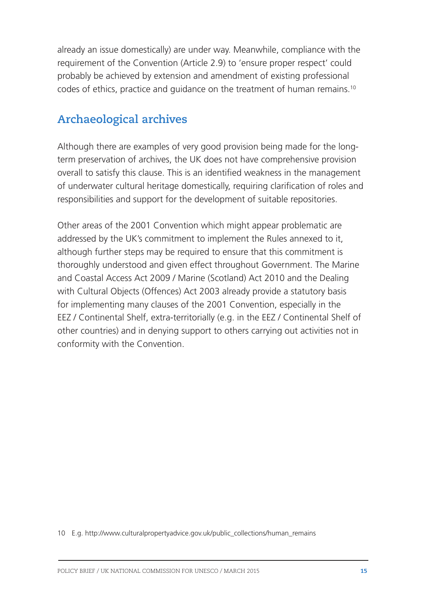already an issue domestically) are under way. Meanwhile, compliance with the requirement of the Convention (Article 2.9) to 'ensure proper respect' could probably be achieved by extension and amendment of existing professional codes of ethics, practice and guidance on the treatment of human remains.10

### **Archaeological archives**

Although there are examples of very good provision being made for the longterm preservation of archives, the UK does not have comprehensive provision overall to satisfy this clause. This is an identified weakness in the management of underwater cultural heritage domestically, requiring clarification of roles and responsibilities and support for the development of suitable repositories.

Other areas of the 2001 Convention which might appear problematic are addressed by the UK's commitment to implement the Rules annexed to it, although further steps may be required to ensure that this commitment is thoroughly understood and given effect throughout Government. The Marine and Coastal Access Act 2009 / Marine (Scotland) Act 2010 and the Dealing with Cultural Objects (Offences) Act 2003 already provide a statutory basis for implementing many clauses of the 2001 Convention, especially in the EEZ / Continental Shelf, extra-territorially (e.g. in the EEZ / Continental Shelf of other countries) and in denying support to others carrying out activities not in conformity with the Convention.

<sup>10</sup> E.g. http://www.culturalpropertyadvice.gov.uk/public\_collections/human\_remains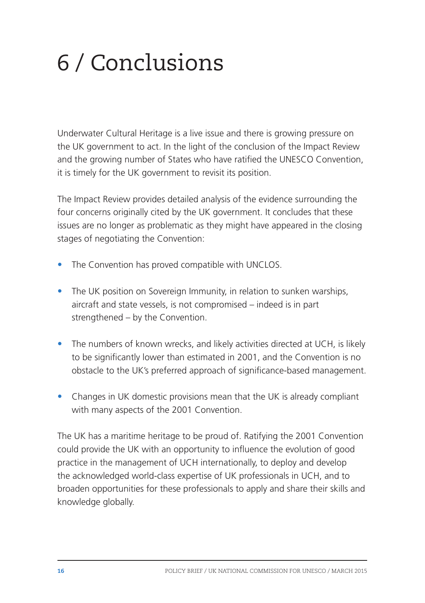# 6 / Conclusions

Underwater Cultural Heritage is a live issue and there is growing pressure on the UK government to act. In the light of the conclusion of the Impact Review and the growing number of States who have ratified the UNESCO Convention, it is timely for the UK government to revisit its position.

The Impact Review provides detailed analysis of the evidence surrounding the four concerns originally cited by the UK government. It concludes that these issues are no longer as problematic as they might have appeared in the closing stages of negotiating the Convention:

- The Convention has proved compatible with UNCLOS.
- The UK position on Sovereign Immunity, in relation to sunken warships, aircraft and state vessels, is not compromised – indeed is in part strengthened – by the Convention.
- The numbers of known wrecks, and likely activities directed at UCH, is likely to be significantly lower than estimated in 2001, and the Convention is no obstacle to the UK's preferred approach of significance-based management.
- Changes in UK domestic provisions mean that the UK is already compliant with many aspects of the 2001 Convention.

The UK has a maritime heritage to be proud of. Ratifying the 2001 Convention could provide the UK with an opportunity to influence the evolution of good practice in the management of UCH internationally, to deploy and develop the acknowledged world-class expertise of UK professionals in UCH, and to broaden opportunities for these professionals to apply and share their skills and knowledge globally.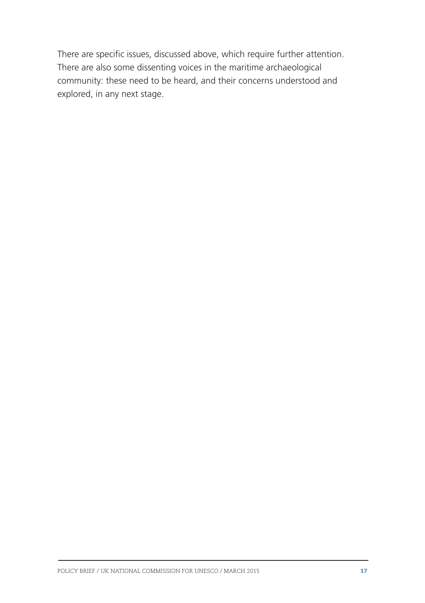There are specific issues, discussed above, which require further attention. There are also some dissenting voices in the maritime archaeological community: these need to be heard, and their concerns understood and explored, in any next stage.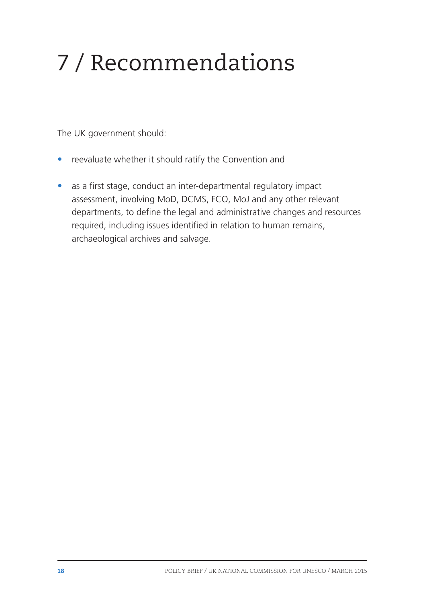# 7 / Recommendations

The UK government should:

- reevaluate whether it should ratify the Convention and
- as a first stage, conduct an inter-departmental regulatory impact assessment, involving MoD, DCMS, FCO, MoJ and any other relevant departments, to define the legal and administrative changes and resources required, including issues identified in relation to human remains, archaeological archives and salvage.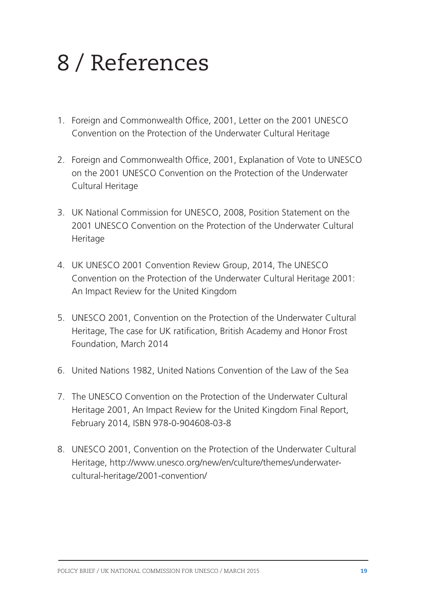## 8 / References

- 1. Foreign and Commonwealth Office, 2001, Letter on the 2001 UNESCO Convention on the Protection of the Underwater Cultural Heritage
- 2. Foreign and Commonwealth Office, 2001, Explanation of Vote to UNESCO on the 2001 UNESCO Convention on the Protection of the Underwater Cultural Heritage
- 3. UK National Commission for UNESCO, 2008, Position Statement on the 2001 UNESCO Convention on the Protection of the Underwater Cultural Heritage
- 4. UK UNESCO 2001 Convention Review Group, 2014, The UNESCO Convention on the Protection of the Underwater Cultural Heritage 2001: An Impact Review for the United Kingdom
- 5. UNESCO 2001, Convention on the Protection of the Underwater Cultural Heritage, The case for UK ratification, British Academy and Honor Frost Foundation, March 2014
- 6. United Nations 1982, United Nations Convention of the Law of the Sea
- 7. The UNESCO Convention on the Protection of the Underwater Cultural Heritage 2001, An Impact Review for the United Kingdom Final Report, February 2014, ISBN 978-0-904608-03-8
- 8. UNESCO 2001, Convention on the Protection of the Underwater Cultural Heritage, http://www.unesco.org/new/en/culture/themes/underwatercultural-heritage/2001-convention/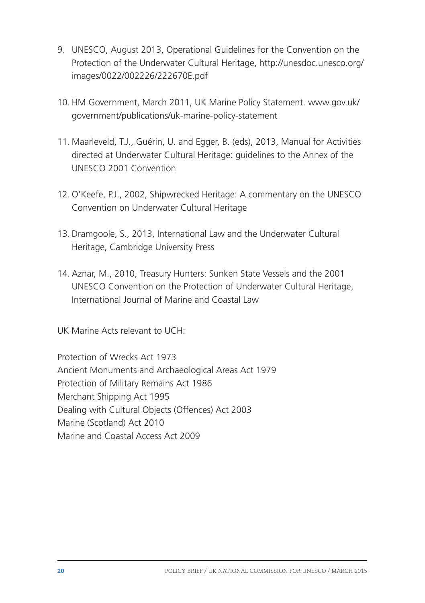- 9. UNESCO, August 2013, Operational Guidelines for the Convention on the Protection of the Underwater Cultural Heritage, http://unesdoc.unesco.org/ images/0022/002226/222670E.pdf
- 10. HM Government, March 2011, UK Marine Policy Statement. www.gov.uk/ government/publications/uk-marine-policy-statement
- 11. Maarleveld, T.J., Guérin, U. and Egger, B. (eds), 2013, Manual for Activities directed at Underwater Cultural Heritage: guidelines to the Annex of the UNESCO 2001 Convention
- 12. O'Keefe, P.J., 2002, Shipwrecked Heritage: A commentary on the UNESCO Convention on Underwater Cultural Heritage
- 13. Dramgoole, S., 2013, International Law and the Underwater Cultural Heritage, Cambridge University Press
- 14. Aznar, M., 2010, Treasury Hunters: Sunken State Vessels and the 2001 UNESCO Convention on the Protection of Underwater Cultural Heritage, International Journal of Marine and Coastal Law

UK Marine Acts relevant to UCH:

Protection of Wrecks Act 1973 Ancient Monuments and Archaeological Areas Act 1979 Protection of Military Remains Act 1986 Merchant Shipping Act 1995 Dealing with Cultural Objects (Offences) Act 2003 Marine (Scotland) Act 2010 Marine and Coastal Access Act 2009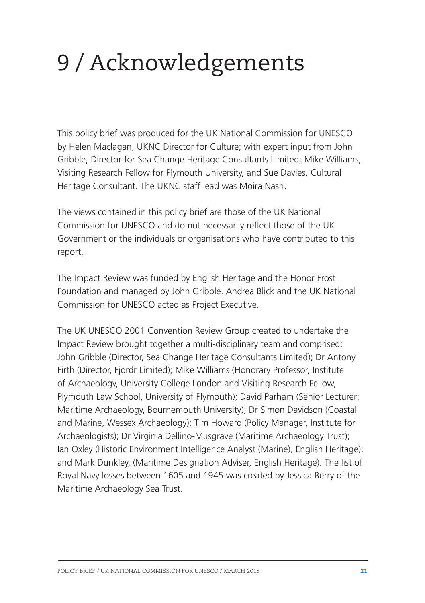# 9 / Acknowledgements

This policy brief was produced for the UK National Commission for UNESCO by Helen Maclagan, UKNC Director for Culture; with expert input from John Gribble, Director for Sea Change Heritage Consultants Limited; Mike Williams, Visiting Research Fellow for Plymouth University, and Sue Davies, Cultural Heritage Consultant. The UKNC staff lead was Moira Nash.

The views contained in this policy brief are those of the UK National Commission for UNESCO and do not necessarily reflect those of the UK Government or the individuals or organisations who have contributed to this report.

The Impact Review was funded by English Heritage and the Honor Frost Foundation and managed by John Gribble. Andrea Blick and the UK National Commission for UNESCO acted as Project Executive.

The UK UNESCO 2001 Convention Review Group created to undertake the Impact Review brought together a multi-disciplinary team and comprised: John Gribble (Director, Sea Change Heritage Consultants Limited); Dr Antony Firth (Director, Fjordr Limited); Mike Williams (Honorary Professor, Institute of Archaeology, University College London and Visiting Research Fellow, Plymouth Law School, University of Plymouth); David Parham (Senior Lecturer: Maritime Archaeology, Bournemouth University); Dr Simon Davidson (Coastal and Marine, Wessex Archaeology); Tim Howard (Policy Manager, Institute for Archaeologists); Dr Virginia Dellino-Musgrave (Maritime Archaeology Trust); Ian Oxley (Historic Environment Intelligence Analyst (Marine), English Heritage); and Mark Dunkley, (Maritime Designation Adviser, English Heritage). The list of Royal Navy losses between 1605 and 1945 was created by Jessica Berry of the Maritime Archaeology Sea Trust.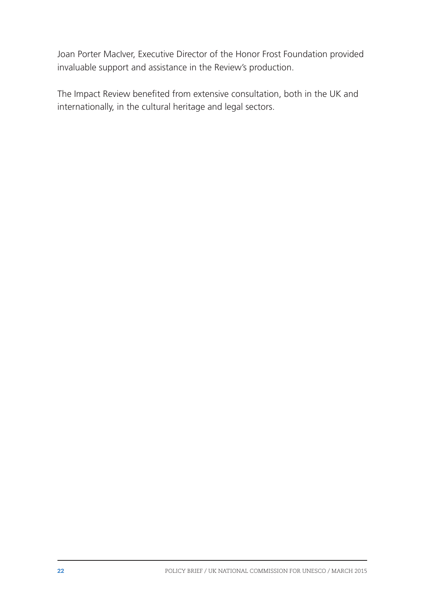Joan Porter MacIver, Executive Director of the Honor Frost Foundation provided invaluable support and assistance in the Review's production.

The Impact Review benefited from extensive consultation, both in the UK and internationally, in the cultural heritage and legal sectors.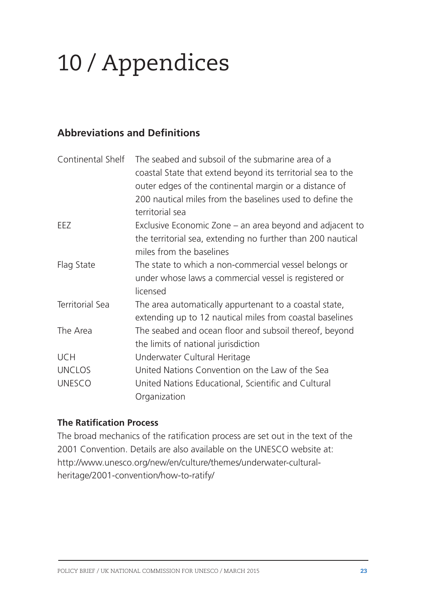# 10 / Appendices

#### **Abbreviations and Definitions**

| Continental Shelf | The seabed and subsoil of the submarine area of a<br>coastal State that extend beyond its territorial sea to the           |
|-------------------|----------------------------------------------------------------------------------------------------------------------------|
|                   | outer edges of the continental margin or a distance of                                                                     |
|                   | 200 nautical miles from the baselines used to define the<br>territorial sea                                                |
| EEZ               | Exclusive Economic Zone – an area beyond and adjacent to                                                                   |
|                   | the territorial sea, extending no further than 200 nautical<br>miles from the baselines                                    |
| Flag State        | The state to which a non-commercial vessel belongs or<br>under whose laws a commercial vessel is registered or<br>licensed |
| Territorial Sea   | The area automatically appurtenant to a coastal state,<br>extending up to 12 nautical miles from coastal baselines         |
| The Area          | The seabed and ocean floor and subsoil thereof, beyond<br>the limits of national jurisdiction                              |
| <b>UCH</b>        | Underwater Cultural Heritage                                                                                               |
| <b>UNCLOS</b>     | United Nations Convention on the Law of the Sea                                                                            |
| <b>UNESCO</b>     | United Nations Educational, Scientific and Cultural<br>Organization                                                        |

#### **The Ratification Process**

The broad mechanics of the ratification process are set out in the text of the 2001 Convention. Details are also available on the UNESCO website at: http://www.unesco.org/new/en/culture/themes/underwater-culturalheritage/2001-convention/how-to-ratify/